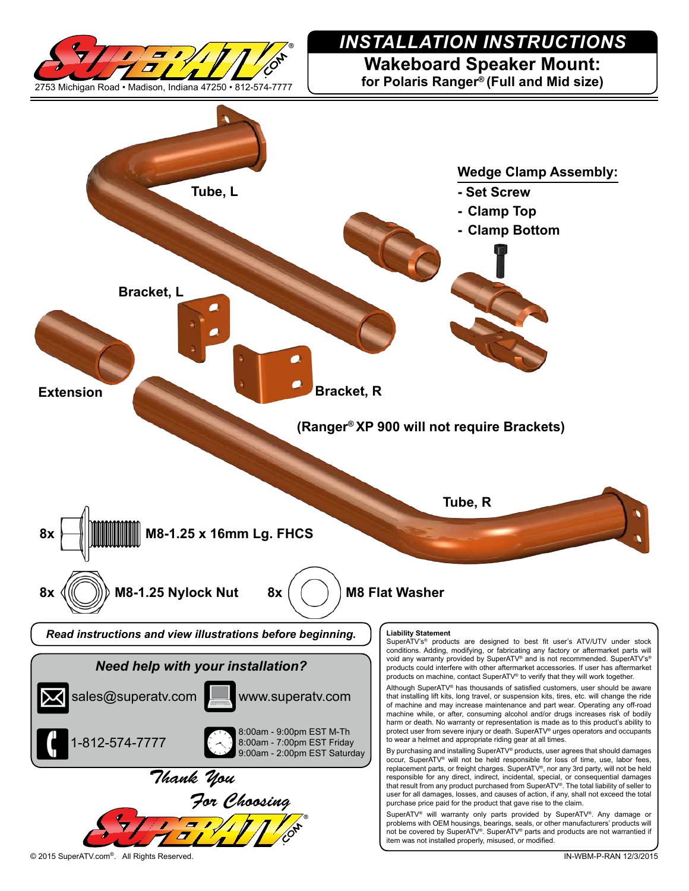

## *INSTALLATION INSTRUCTIONS*

**Wakeboard Speaker Mount: for Polaris Ranger® (Full and Mid size)**

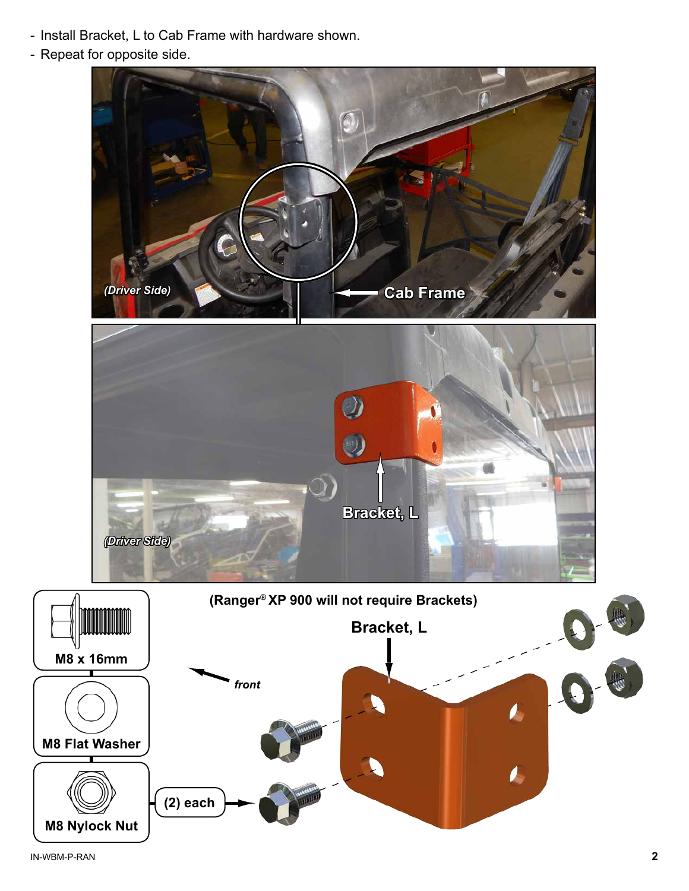- Install Bracket, L to Cab Frame with hardware shown.
- Repeat for opposite side.

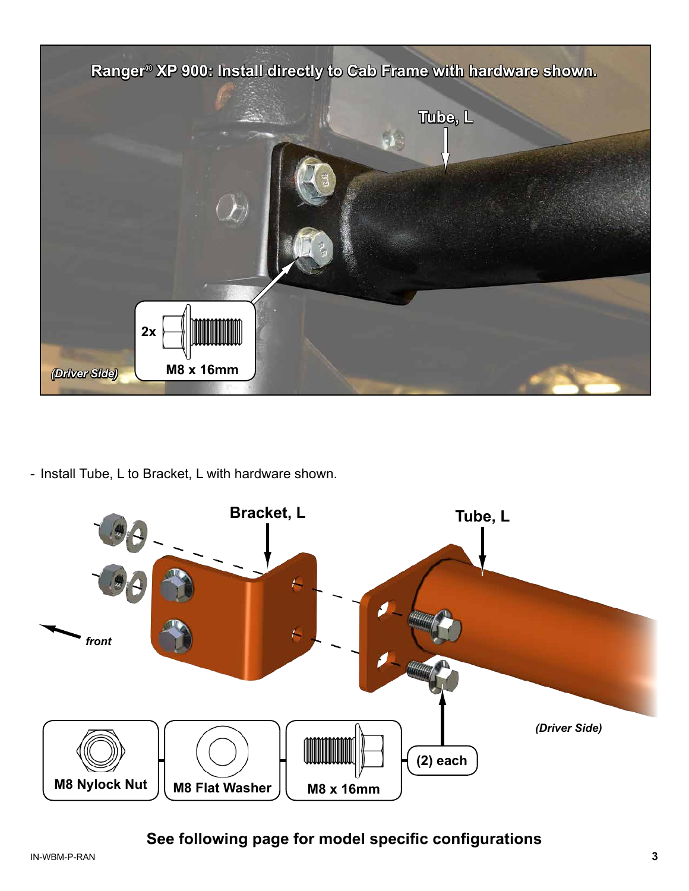

- Install Tube, L to Bracket, L with hardware shown.



## **See following page for model specific configurations**